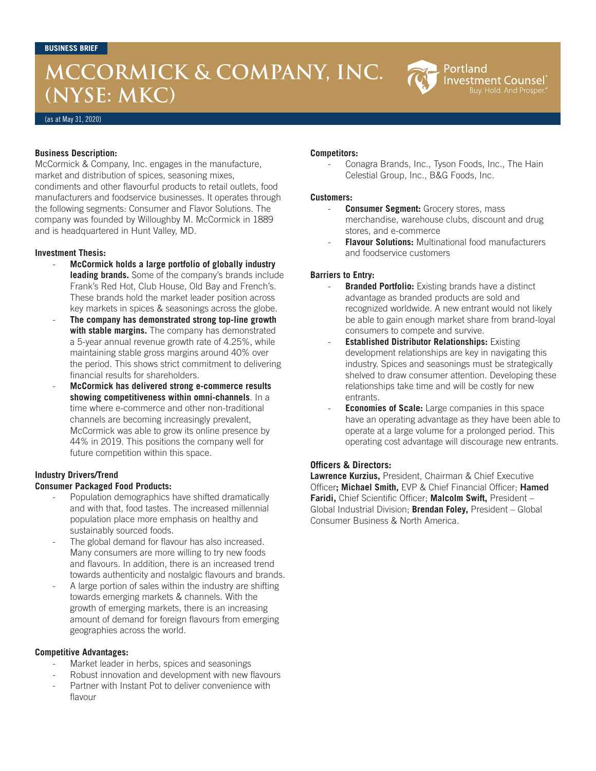# **MCCORMICK & COMPANY, INC. (NYSE: MKC)**

#### (as at May 31, 2020)

# **Business Description:**

McCormick & Company, Inc. engages in the manufacture, market and distribution of spices, seasoning mixes, condiments and other flavourful products to retail outlets, food manufacturers and foodservice businesses. It operates through the following segments: Consumer and Flavor Solutions. The company was founded by Willoughby M. McCormick in 1889 and is headquartered in Hunt Valley, MD.

## **Investment Thesis:**

- **McCormick holds a large portfolio of globally industry leading brands.** Some of the company's brands include Frank's Red Hot, Club House, Old Bay and French's. These brands hold the market leader position across key markets in spices & seasonings across the globe.
- **The company has demonstrated strong top-line growth with stable margins.** The company has demonstrated a 5-year annual revenue growth rate of 4.25%, while maintaining stable gross margins around 40% over the period. This shows strict commitment to delivering financial results for shareholders.
- **McCormick has delivered strong e-commerce results showing competitiveness within omni-channels**. In a time where e-commerce and other non-traditional channels are becoming increasingly prevalent, McCormick was able to grow its online presence by 44% in 2019. This positions the company well for future competition within this space.

## **Industry Drivers/Trend**

## **Consumer Packaged Food Products:**

- Population demographics have shifted dramatically and with that, food tastes. The increased millennial population place more emphasis on healthy and sustainably sourced foods.
- The global demand for flavour has also increased. Many consumers are more willing to try new foods and flavours. In addition, there is an increased trend towards authenticity and nostalgic flavours and brands.
- A large portion of sales within the industry are shifting towards emerging markets & channels. With the growth of emerging markets, there is an increasing amount of demand for foreign flavours from emerging geographies across the world.

## **Competitive Advantages:**

- Market leader in herbs, spices and seasonings
- Robust innovation and development with new flavours
- Partner with Instant Pot to deliver convenience with flavour

#### **Competitors:**

Conagra Brands, Inc., Tyson Foods, Inc., The Hain Celestial Group, Inc., B&G Foods, Inc.

#### **Customers:**

- **Consumer Segment:** Grocery stores, mass merchandise, warehouse clubs, discount and drug stores, and e-commerce
- **Flavour Solutions:** Multinational food manufacturers and foodservice customers

## **Barriers to Entry:**

- **Branded Portfolio:** Existing brands have a distinct advantage as branded products are sold and recognized worldwide. A new entrant would not likely be able to gain enough market share from brand-loyal consumers to compete and survive.
- **Established Distributor Relationships:** Existing development relationships are key in navigating this industry. Spices and seasonings must be strategically shelved to draw consumer attention. Developing these relationships take time and will be costly for new entrants.
- **Economies of Scale:** Large companies in this space have an operating advantage as they have been able to operate at a large volume for a prolonged period. This operating cost advantage will discourage new entrants.

# **Officers & Directors:**

**Lawrence Kurzius,** President, Chairman & Chief Executive Officer**; Michael Smith,** EVP & Chief Financial Officer; **Hamed Faridi,** Chief Scientific Officer; **Malcolm Swift,** President – Global Industrial Division; **Brendan Foley,** President – Global Consumer Business & North America.